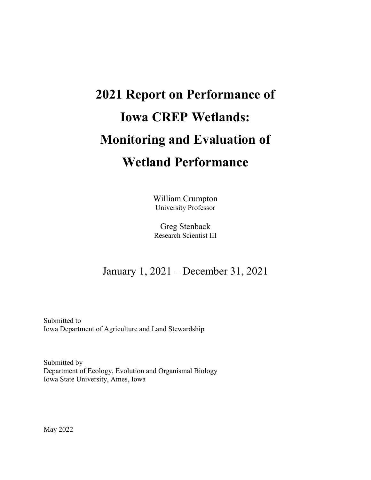# **2021 Report on Performance of Iowa CREP Wetlands: Monitoring and Evaluation of Wetland Performance**

William Crumpton University Professor

Greg Stenback Research Scientist III

## January 1, 2021 – December 31, 2021

Submitted to Iowa Department of Agriculture and Land Stewardship

Submitted by Department of Ecology, Evolution and Organismal Biology Iowa State University, Ames, Iowa

May 2022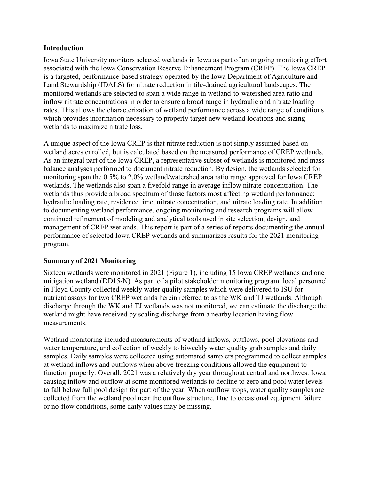#### **Introduction**

Iowa State University monitors selected wetlands in Iowa as part of an ongoing monitoring effort associated with the Iowa Conservation Reserve Enhancement Program (CREP). The Iowa CREP is a targeted, performance-based strategy operated by the Iowa Department of Agriculture and Land Stewardship (IDALS) for nitrate reduction in tile-drained agricultural landscapes. The monitored wetlands are selected to span a wide range in wetland-to-watershed area ratio and inflow nitrate concentrations in order to ensure a broad range in hydraulic and nitrate loading rates. This allows the characterization of wetland performance across a wide range of conditions which provides information necessary to properly target new wetland locations and sizing wetlands to maximize nitrate loss.

A unique aspect of the Iowa CREP is that nitrate reduction is not simply assumed based on wetland acres enrolled, but is calculated based on the measured performance of CREP wetlands. As an integral part of the Iowa CREP, a representative subset of wetlands is monitored and mass balance analyses performed to document nitrate reduction. By design, the wetlands selected for monitoring span the 0.5% to 2.0% wetland/watershed area ratio range approved for Iowa CREP wetlands. The wetlands also span a fivefold range in average inflow nitrate concentration. The wetlands thus provide a broad spectrum of those factors most affecting wetland performance: hydraulic loading rate, residence time, nitrate concentration, and nitrate loading rate. In addition to documenting wetland performance, ongoing monitoring and research programs will allow continued refinement of modeling and analytical tools used in site selection, design, and management of CREP wetlands. This report is part of a series of reports documenting the annual performance of selected Iowa CREP wetlands and summarizes results for the 2021 monitoring program.

#### **Summary of 2021 Monitoring**

Sixteen wetlands were monitored in 2021 (Figure 1), including 15 Iowa CREP wetlands and one mitigation wetland (DD15-N). As part of a pilot stakeholder monitoring program, local personnel in Floyd County collected weekly water quality samples which were delivered to ISU for nutrient assays for two CREP wetlands herein referred to as the WK and TJ wetlands. Although discharge through the WK and TJ wetlands was not monitored, we can estimate the discharge the wetland might have received by scaling discharge from a nearby location having flow measurements.

Wetland monitoring included measurements of wetland inflows, outflows, pool elevations and water temperature, and collection of weekly to biweekly water quality grab samples and daily samples. Daily samples were collected using automated samplers programmed to collect samples at wetland inflows and outflows when above freezing conditions allowed the equipment to function properly. Overall, 2021 was a relatively dry year throughout central and northwest Iowa causing inflow and outflow at some monitored wetlands to decline to zero and pool water levels to fall below full pool design for part of the year. When outflow stops, water quality samples are collected from the wetland pool near the outflow structure. Due to occasional equipment failure or no-flow conditions, some daily values may be missing.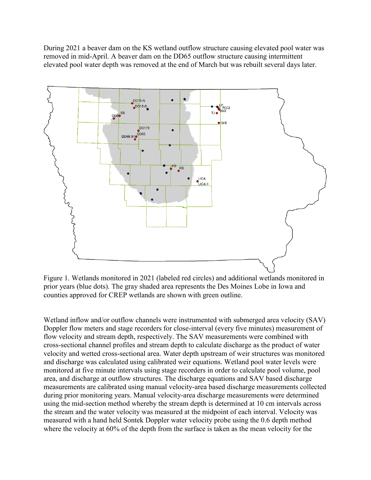During 2021 a beaver dam on the KS wetland outflow structure causing elevated pool water was removed in mid-April. A beaver dam on the DD65 outflow structure causing intermittent elevated pool water depth was removed at the end of March but was rebuilt several days later.



Figure 1. Wetlands monitored in 2021 (labeled red circles) and additional wetlands monitored in prior years (blue dots). The gray shaded area represents the Des Moines Lobe in Iowa and counties approved for CREP wetlands are shown with green outline.

Wetland inflow and/or outflow channels were instrumented with submerged area velocity (SAV) Doppler flow meters and stage recorders for close-interval (every five minutes) measurement of flow velocity and stream depth, respectively. The SAV measurements were combined with cross-sectional channel profiles and stream depth to calculate discharge as the product of water velocity and wetted cross-sectional area. Water depth upstream of weir structures was monitored and discharge was calculated using calibrated weir equations. Wetland pool water levels were monitored at five minute intervals using stage recorders in order to calculate pool volume, pool area, and discharge at outflow structures. The discharge equations and SAV based discharge measurements are calibrated using manual velocity-area based discharge measurements collected during prior monitoring years. Manual velocity-area discharge measurements were determined using the mid-section method whereby the stream depth is determined at 10 cm intervals across the stream and the water velocity was measured at the midpoint of each interval. Velocity was measured with a hand held Sontek Doppler water velocity probe using the 0.6 depth method where the velocity at 60% of the depth from the surface is taken as the mean velocity for the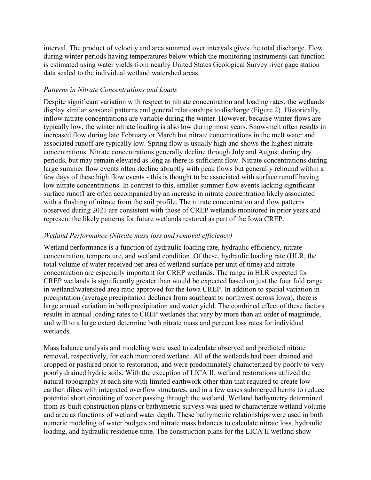interval. The product of velocity and area summed over intervals gives the total discharge. Flow during winter periods having temperatures below which the monitoring instruments can function is estimated using water yields from nearby United States Geological Survey river gage station data scaled to the individual wetland watershed areas.

#### *Patterns in Nitrate Concentrations and Loads*

Despite significant variation with respect to nitrate concentration and loading rates, the wetlands display similar seasonal patterns and general relationships to discharge (Figure 2). Historically, inflow nitrate concentrations are variable during the winter. However, because winter flows are typically low, the winter nitrate loading is also low during most years. Snow-melt often results in increased flow during late February or March but nitrate concentrations in the melt water and associated runoff are typically low. Spring flow is usually high and shows the highest nitrate concentrations. Nitrate concentrations generally decline through July and August during dry periods, but may remain elevated as long as there is sufficient flow. Nitrate concentrations during large summer flow events often decline abruptly with peak flows but generally rebound within a few days of these high flow events - this is thought to be associated with surface runoff having low nitrate concentrations. In contrast to this, smaller summer flow events lacking significant surface runoff are often accompanied by an increase in nitrate concentration likely associated with a flushing of nitrate from the soil profile. The nitrate concentration and flow patterns observed during 2021 are consistent with those of CREP wetlands monitored in prior years and represent the likely patterns for future wetlands restored as part of the Iowa CREP.

### *Wetland Performance (Nitrate mass loss and removal efficiency)*

Wetland performance is a function of hydraulic loading rate, hydraulic efficiency, nitrate concentration, temperature, and wetland condition. Of these, hydraulic loading rate (HLR, the total volume of water received per area of wetland surface per unit of time) and nitrate concentration are especially important for CREP wetlands. The range in HLR expected for CREP wetlands is significantly greater than would be expected based on just the four fold range in wetland/watershed area ratio approved for the Iowa CREP. In addition to spatial variation in precipitation (average precipitation declines from southeast to northwest across Iowa), there is large annual variation in both precipitation and water yield. The combined effect of these factors results in annual loading rates to CREP wetlands that vary by more than an order of magnitude, and will to a large extent determine both nitrate mass and percent loss rates for individual wetlands.

Mass balance analysis and modeling were used to calculate observed and predicted nitrate removal, respectively, for each monitored wetland. All of the wetlands had been drained and cropped or pastured prior to restoration, and were predominately characterized by poorly to very poorly drained hydric soils. With the exception of LICA II, wetland restorations utilized the natural topography at each site with limited earthwork other than that required to create low earthen dikes with integrated overflow structures, and in a few cases submerged berms to reduce potential short circuiting of water passing through the wetland. Wetland bathymetry determined from as-built construction plans or bathymetric surveys was used to characterize wetland volume and area as functions of wetland water depth. These bathymetric relationships were used in both numeric modeling of water budgets and nitrate mass balances to calculate nitrate loss, hydraulic loading, and hydraulic residence time. The construction plans for the LICA II wetland show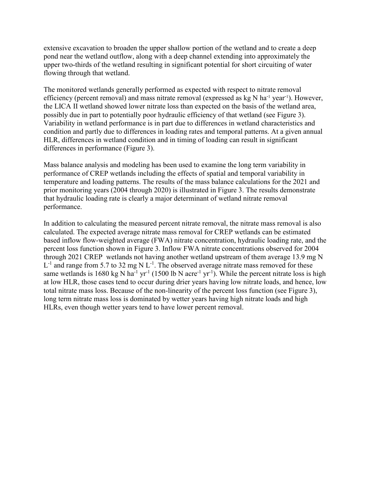extensive excavation to broaden the upper shallow portion of the wetland and to create a deep pond near the wetland outflow, along with a deep channel extending into approximately the upper two-thirds of the wetland resulting in significant potential for short circuiting of water flowing through that wetland.

The monitored wetlands generally performed as expected with respect to nitrate removal efficiency (percent removal) and mass nitrate removal (expressed as kg N ha<sup>-1</sup> year<sup>-1</sup>). However, the LICA II wetland showed lower nitrate loss than expected on the basis of the wetland area, possibly due in part to potentially poor hydraulic efficiency of that wetland (see Figure 3). Variability in wetland performance is in part due to differences in wetland characteristics and condition and partly due to differences in loading rates and temporal patterns. At a given annual HLR, differences in wetland condition and in timing of loading can result in significant differences in performance (Figure 3).

Mass balance analysis and modeling has been used to examine the long term variability in performance of CREP wetlands including the effects of spatial and temporal variability in temperature and loading patterns. The results of the mass balance calculations for the 2021 and prior monitoring years (2004 through 2020) is illustrated in Figure 3. The results demonstrate that hydraulic loading rate is clearly a major determinant of wetland nitrate removal performance.

In addition to calculating the measured percent nitrate removal, the nitrate mass removal is also calculated. The expected average nitrate mass removal for CREP wetlands can be estimated based inflow flow-weighted average (FWA) nitrate concentration, hydraulic loading rate, and the percent loss function shown in Figure 3. Inflow FWA nitrate concentrations observed for 2004 through 2021 CREP wetlands not having another wetland upstream of them average 13.9 mg N  $L^{-1}$  and range from 5.7 to 32 mg N  $L^{-1}$ . The observed average nitrate mass removed for these same wetlands is 1680 kg N ha<sup>-1</sup> yr<sup>-1</sup> (1500 lb N acre<sup>-1</sup> yr<sup>-1</sup>). While the percent nitrate loss is high at low HLR, those cases tend to occur during drier years having low nitrate loads, and hence, low total nitrate mass loss. Because of the non-linearity of the percent loss function (see Figure 3), long term nitrate mass loss is dominated by wetter years having high nitrate loads and high HLRs, even though wetter years tend to have lower percent removal.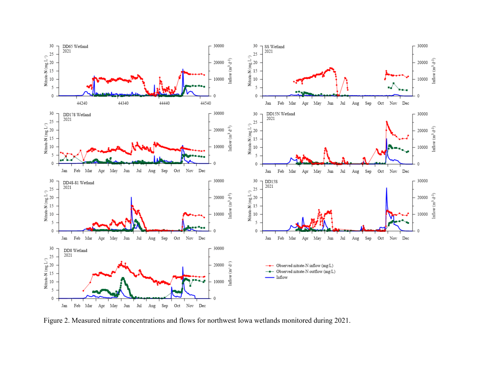

Figure 2. Measured nitrate concentrations and flows for northwest Iowa wetlands monitored during 2021.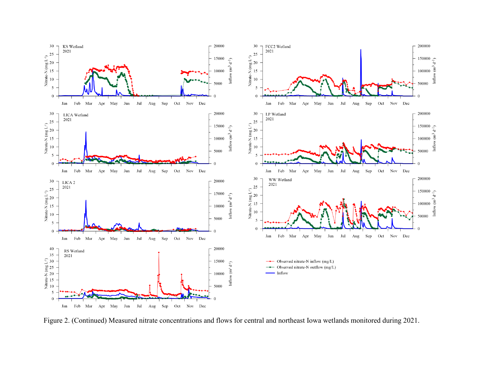

Figure 2. (Continued) Measured nitrate concentrations and flows for central and northeast Iowa wetlands monitored during 2021.